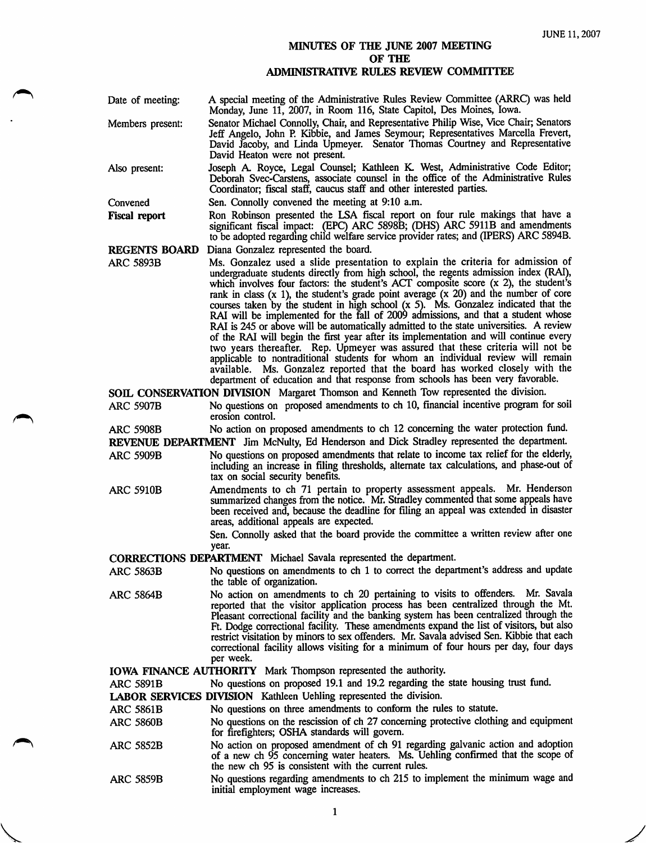## MINUTES OF THE JUNE 2007 MEETING OF THE ADMINISTRATIVE RULES REVIEW COMMTITEE

| Date of meeting:     | A special meeting of the Administrative Rules Review Committee (ARRC) was held<br>Monday, June 11, 2007, in Room 116, State Capitol, Des Moines, Iowa.                                                                                                                                                                                                      |
|----------------------|-------------------------------------------------------------------------------------------------------------------------------------------------------------------------------------------------------------------------------------------------------------------------------------------------------------------------------------------------------------|
| Members present:     | Senator Michael Connolly, Chair, and Representative Philip Wise, Vice Chair; Senators<br>Jeff Angelo, John P. Kibbie, and James Seymour; Representatives Marcella Frevert,<br>David Jacoby, and Linda Upmeyer. Senator Thomas Courtney and Representative<br>David Heaton were not present.                                                                 |
| Also present:        | Joseph A. Royce, Legal Counsel; Kathleen K. West, Administrative Code Editor;<br>Deborah Svec-Carstens, associate counsel in the office of the Administrative Rules<br>Coordinator; fiscal staff, caucus staff and other interested parties.                                                                                                                |
| Convened             | Sen. Connolly convened the meeting at 9:10 a.m.                                                                                                                                                                                                                                                                                                             |
| Fiscal report        | Ron Robinson presented the LSA fiscal report on four rule makings that have a<br>significant fiscal impact: (EPC) ARC 5898B; (DHS) ARC 5911B and amendments<br>to be adopted regarding child welfare service provider rates; and (IPERS) ARC 5894B.                                                                                                         |
| <b>REGENTS BOARD</b> | Diana Gonzalez represented the board.                                                                                                                                                                                                                                                                                                                       |
| ARC 5893B            | Ms. Gonzalez used a slide presentation to explain the criteria for admission of<br>undergraduate students directly from high school, the regents admission index (RAI),<br>which involves four factors: the student's ACT composite score (x 2), the student's<br>rank in class $(x 1)$ , the student's grade point average $(x 20)$ and the number of core |

rank in class  $(x 1)$ , the student's grade point average  $(x 20)$  and the number of core courses taken by the student in high school  $(x 5)$ . Ms. Gonzalez indicated that the RAI will be implemented for the fall of 2009 admis RAI is 245 or above will be automatically admitted to the state universities. A review of the RAI will begin the first year after its implementation and will continue every two years thereafter. Rep. Upmeyer was assured that these criteria will not be applicable to nontraditional students for whom an individual review will remain available. Ms. Gonzalez reported that the board has worked closely with the department of education and that response from schools has been very favorable.

SOIL CONSERVATION DIVISION Margaret Thomson and Kenneth Tow represented the division.<br>ARC 5907B No questions on proposed amendments to ch 10, financial incentive program for No questions on proposed amendments to ch 10, financial incentive program for soil erosion control.

ARC 5908B No action on proposed amendments to ch 12 concerning the water protection fund.

REVENUE DEPARTMENT Jim McNulty, Ed Henderson and Dick Stradley represented the department.

- ARC 5909B No questions on proposed amendments that relate to income tax relief for the elderly, including an increase in filing thresholds, alternate tax calculations, and phase-out of tax on social security benefits.
- ARC 5910B Amendments to ch 71 pertain to property assessment appeals. Mr. Henderson summarized changes from the notice. Mr. Stradley commented that some appeals have been received and, because the deadline for filing an appeal was extended in disaster areas, additional appeals are expected.

Sen. Connolly asked that the board provide the committee a written review after one year.

CORRECTIONS DEPARTMENT Michael Savala represented the department.

- ARC 5863B No questions on amendments to ch 1 to correct the department's address and update the table of organization.
- ARC 5864B No action on amendments to ch 20 pertaining to visits to offenders. Mr. Savala reported that the visitor application process has been centralized through the Mt. Pleasant correctional facility and the banking system has been centralized through the Ft. Dodge correctional facility. These amendments expand the list of visitors, but also restrict visitation by minors to sex offenders. Mr. Savala advised Sen. Kibbie that each correctional facility allows visiting for a minimum of four hours per day, four days per week.

IOWA FINANCE AUTHORITY Mark Thompson represented the authority.

ARC 5891B No questions on proposed 19.1 and 19.2 regarding the state housing trust fund.

LABOR SERVICES DIVISION Kathleen Uehling represented the division.

No questions on three amendments to conform the rules to statute. ARC 5861B

No questions on the rescission of ch 27 concerning protective clothing and equipment for firefighters; OSHA standards will govern. ARC 5860B

- No action on proposed amendment of ch 91 regarding galvanic action and adoption of a new ch 95 concerning water heaters. Ms. Uehling confirmed that the scope of the new ch 95 is consistent with the current rules. ARC 5852B
- No questions regarding amendments to ch 215 to implement the minimum wage and initid employment wage increases. ARC 5859B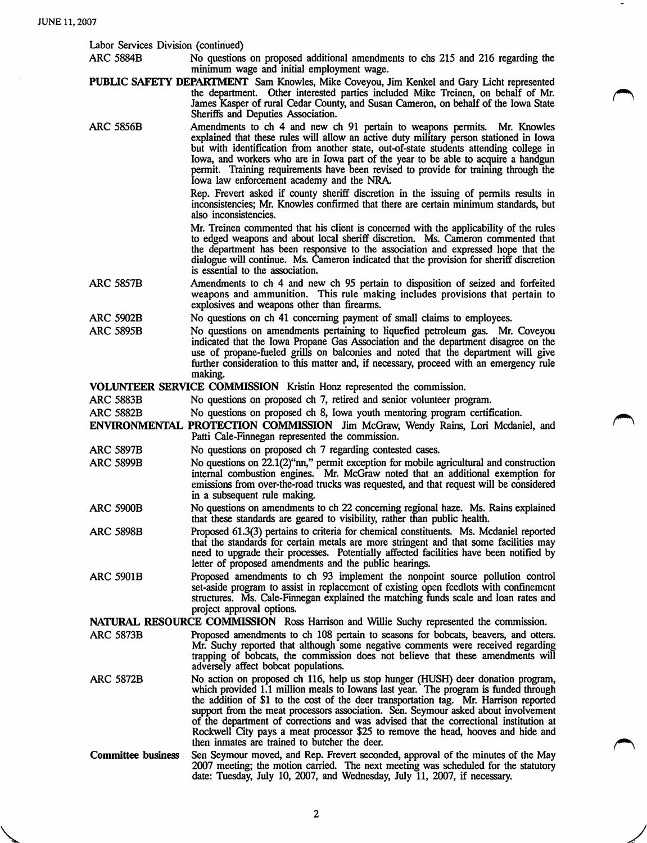V<br>V<br>Santa Carrier

| Labor Services Division (continued) |                                                                                                                                                                                                                                                                                                                                                                                                                                                                                                                                                                                     |
|-------------------------------------|-------------------------------------------------------------------------------------------------------------------------------------------------------------------------------------------------------------------------------------------------------------------------------------------------------------------------------------------------------------------------------------------------------------------------------------------------------------------------------------------------------------------------------------------------------------------------------------|
| <b>ARC 5884B</b>                    | No questions on proposed additional amendments to chs 215 and 216 regarding the<br>minimum wage and initial employment wage.                                                                                                                                                                                                                                                                                                                                                                                                                                                        |
|                                     | PUBLIC SAFETY DEPARTMENT Sam Knowles, Mike Coveyou, Jim Kenkel and Gary Licht represented<br>the department. Other interested parties included Mike Treinen, on behalf of Mr.<br>James Kasper of rural Cedar County, and Susan Cameron, on behalf of the Iowa State<br>Sheriffs and Deputies Association.                                                                                                                                                                                                                                                                           |
| <b>ARC 5856B</b>                    | Amendments to ch 4 and new ch 91 pertain to weapons permits. Mr. Knowles<br>explained that these rules will allow an active duty military person stationed in Iowa<br>but with identification from another state, out-of-state students attending college in<br>Iowa, and workers who are in Iowa part of the year to be able to acquire a handgun<br>permit. Training requirements have been revised to provide for training through the<br>Iowa law enforcement academy and the NRA.                                                                                              |
|                                     | Rep. Frevert asked if county sheriff discretion in the issuing of permits results in<br>inconsistencies; Mr. Knowles confirmed that there are certain minimum standards, but<br>also inconsistencies.                                                                                                                                                                                                                                                                                                                                                                               |
|                                     | Mr. Treinen commented that his client is concerned with the applicability of the rules<br>to edged weapons and about local sheriff discretion. Ms. Cameron commented that<br>the department has been responsive to the association and expressed hope that the<br>dialogue will continue. Ms. Cameron indicated that the provision for sheriff discretion<br>is essential to the association.                                                                                                                                                                                       |
| <b>ARC 5857B</b>                    | Amendments to ch 4 and new ch 95 pertain to disposition of seized and forfeited<br>weapons and ammunition. This rule making includes provisions that pertain to<br>explosives and weapons other than firearms.                                                                                                                                                                                                                                                                                                                                                                      |
| <b>ARC 5902B</b>                    | No questions on ch 41 concerning payment of small claims to employees.                                                                                                                                                                                                                                                                                                                                                                                                                                                                                                              |
| <b>ARC 5895B</b>                    | No questions on amendments pertaining to liquefied petroleum gas. Mr. Coveyou<br>indicated that the Iowa Propane Gas Association and the department disagree on the<br>use of propane-fueled grills on balconies and noted that the department will give<br>further consideration to this matter and, if necessary, proceed with an emergency rule<br>making.                                                                                                                                                                                                                       |
|                                     | VOLUNTEER SERVICE COMMISSION Kristin Honz represented the commission.                                                                                                                                                                                                                                                                                                                                                                                                                                                                                                               |
| <b>ARC 5883B</b>                    | No questions on proposed ch 7, retired and senior volunteer program.                                                                                                                                                                                                                                                                                                                                                                                                                                                                                                                |
| <b>ARC 5882B</b>                    | No questions on proposed ch 8, Iowa youth mentoring program certification.                                                                                                                                                                                                                                                                                                                                                                                                                                                                                                          |
|                                     | ENVIRONMENTAL PROTECTION COMMISSION Jim McGraw, Wendy Rains, Lori Mcdaniel, and<br>Patti Cale-Finnegan represented the commission.                                                                                                                                                                                                                                                                                                                                                                                                                                                  |
| <b>ARC 5897B</b>                    | No questions on proposed ch 7 regarding contested cases.                                                                                                                                                                                                                                                                                                                                                                                                                                                                                                                            |
| <b>ARC 5899B</b>                    | No questions on $22.1(2)$ "nn," permit exception for mobile agricultural and construction<br>internal combustion engines. Mr. McGraw noted that an additional exemption for<br>emissions from over-the-road trucks was requested, and that request will be considered<br>in a subsequent rule making.                                                                                                                                                                                                                                                                               |
| <b>ARC 5900B</b>                    | No questions on amendments to ch 22 concerning regional haze. Ms. Rains explained<br>that these standards are geared to visibility, rather than public health.                                                                                                                                                                                                                                                                                                                                                                                                                      |
| <b>ARC 5898B</b>                    | Proposed 61.3(3) pertains to criteria for chemical constituents. Ms. Mcdaniel reported<br>that the standards for certain metals are more stringent and that some facilities may<br>need to upgrade their processes. Potentially affected facilities have been notified by<br>letter of proposed amendments and the public hearings.                                                                                                                                                                                                                                                 |
| <b>ARC 5901B</b>                    | Proposed amendments to ch 93 implement the nonpoint source pollution control<br>set-aside program to assist in replacement of existing open feedlots with confinement<br>structures. Ms. Cale-Finnegan explained the matching funds scale and loan rates and<br>project approval options.                                                                                                                                                                                                                                                                                           |
|                                     | <b>NATURAL RESOURCE COMMISSION</b> Ross Harrison and Willie Suchy represented the commission.                                                                                                                                                                                                                                                                                                                                                                                                                                                                                       |
| <b>ARC 5873B</b>                    | Proposed amendments to ch 108 pertain to seasons for bobcats, beavers, and otters.<br>Mr. Suchy reported that although some negative comments were received regarding<br>trapping of bobcats, the commission does not believe that these amendments will<br>adversely affect bobcat populations.                                                                                                                                                                                                                                                                                    |
| <b>ARC 5872B</b>                    | No action on proposed ch 116, help us stop hunger (HUSH) deer donation program,<br>which provided 1.1 million meals to Iowans last year. The program is funded through<br>the addition of \$1 to the cost of the deer transportation tag. Mr. Harrison reported<br>support from the meat processors association. Sen. Seymour asked about involvement<br>of the department of corrections and was advised that the correctional institution at<br>Rockwell City pays a meat processor \$25 to remove the head, hooves and hide and<br>then inmates are trained to butcher the deer. |
| <b>Committee business</b>           | Sen Seymour moved, and Rep. Frevert seconded, approval of the minutes of the May<br>2007 meeting; the motion carried. The next meeting was scheduled for the statutory<br>date: Tuesday, July 10, 2007, and Wednesday, July 11, 2007, if necessary.                                                                                                                                                                                                                                                                                                                                 |

 $\overline{\phantom{a}}$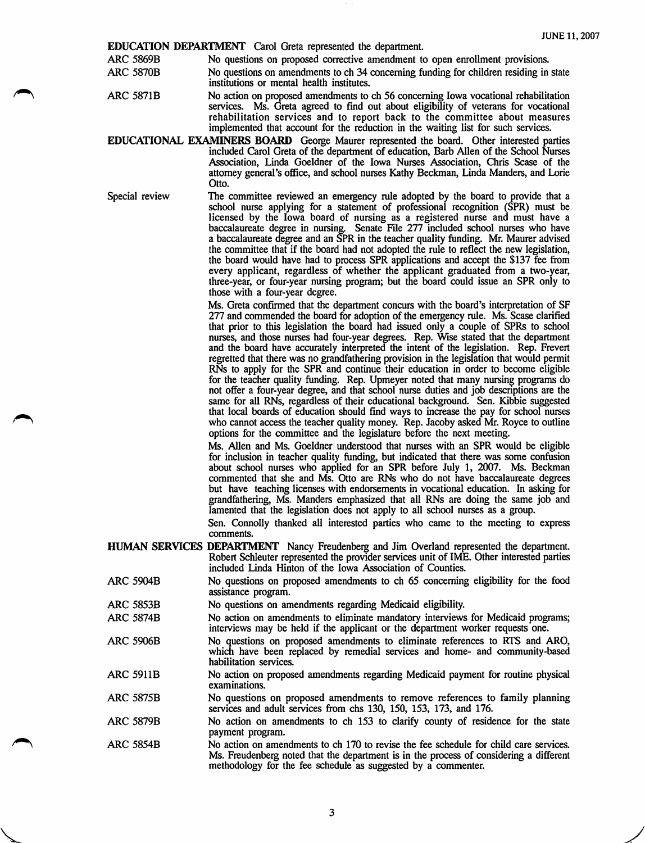**EDUCATION DEPARTMENT** Carol Greta represented the department.<br>ARC 5869B No questions on proposed corrective amendment to

ARC 5869B No questions on proposed corrective amendment to open enrollment provisions.<br>ARC 5870B No questions on amendments to ch 34 concerning funding for children residing in No questions on amendments to ch 34 concerning funding for children residing in state institutions or mental health institutes.

- ARC 5871B No action on proposed amendments to ch 56 conceming Iowa vocational rehabilitation services. Ms. Greta agreed to find out about eligibility of veterans for vocational rehabilitation services and to report back to the committee about measures implemented that account for the reduction in the waiting list for such services.
- EDUCATIONAL EXAMINERS BOARD Geoige Maurer represented the board. Other interested parties included Carol Greta of the department of education, Barb Allen of the School Nurses Association, Linda Goeldner of the Iowa Nurses Association, Chris Scase of the attomey general's office, and school nurses Kathy Beckman, Linda Manders, and Lorie Otto.

Special review The committee reviewed an emergency rule adopted by the board to provide that a school nurse applying for a statement of professional recognition (SPR) must be licensed by the Iowa board of nursing as a registered nurse and must have a baccalaureate degree in nursing. Senate File 277 included school nurses who have a baccalaureate degree and an SPR in the teacher quality funding. Mr. Maurer advised the committee that if the board had not adopted the rule to reflect the new legislation, the board would have had to process SPR applications and accept the \$137 fee from every applicant, regardless of whether the applicant graduated from a two-year, three-year, or four-year nursing program; but the board could issue an SPR only to those with a four-year degree.

> Ms. Greta confirmed that the department concurs with the board's interpretation of SF 277 and commended the board for adoption of the emergency rule. Ms. Scase clarified that prior to this legislation the board had issued only a couple of SPRs to school nurses, and those nurses had four-year degrees. Rep. Wise stated that the department and the board have accurately interpreted the intent of the legislation. Rep. Frevert regretted that there was no grandfathering provision in the legislation that would permit RNs to apply for the SPR and continue their education in order to become eligible for the teacher quality funding. Rep. Upmeyer noted that many nursing programs do not offer a four-year degree, and that school nurse duties and job descriptions are the same for all RNs, regardless of their educational background. Sen. Kibbie suggested that local boards of education should find ways to increase the pay for school nurses who cannot access the teacher quality money. Rep. Jacoby asked Mr. Royce to outline options for the committee and the legislature before the next meeting.

> Ms. Allen and Ms. Goeldner understood that nurses with an SPR would be eligible for inclusion in teacher quality funding, but indicated that there was some confusion about school nurses who applied for an SPR before July 1, 2007. Ms. Beckman commented that she and Ms. Otto are RNs who do not have baccalaureate degrees but have teaching licenses with endorsements in vocational education. In asking for grandfathering, Ms. Manders emphasized that all RNs are doing the same job and lamented that the legislation does not apply to all school nurses as a group.

Sen. Connolly thanked all interested parties who came to the meeting to express comments.

HUMAN SERVICES DEPARTMENT Nancy Freudenberg and Jim Overland represented the department. Robert Schleuter represented the provider services unit of INffi. Other interested parties included Linda Hinton of the Iowa Association of Counties.

- ARC 5904B No questions on proposed amendments to ch 65 conceming eligibility for the food assistance program.
- ARC 5853B No questions on amendments regarding Medicaid eligibility.

 $\sqrt{2}$ 

- ARC 5874B No action on amendments to eliminate mandatory interviews for Medicaid programs; interviews may be held if the applicant or the department worker requests one.
- ARC 5906B No questions on proposed amendments to eliminate references to RTS and ARC, which have been replaced by remedial services and home- and community-based habilitation services.
- ARC 5911B No action on proposed amendments regarding Medicaid payment for routine physical examinations.
- ARC 5875B No questions on proposed amendments to remove references to family planning services and adult services from chs 130, 150, 153, 173, and 176.
- ARC 5879B No action on amendments to ch 153 to clarify county of residence for the state payment program.
- ARC 5854B No action on amendments to ch 170 to revise the fee schedule for child care services. Ms. Freudenberg noted that the department is in the process of considering a different methodology for the fee schedule as suggested by a commenter.